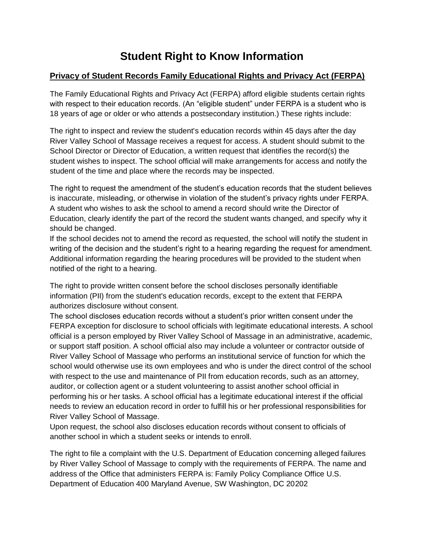# **Student Right to Know Information**

# **Privacy of Student Records Family Educational Rights and Privacy Act (FERPA)**

The Family Educational Rights and Privacy Act (FERPA) afford eligible students certain rights with respect to their education records. (An "eligible student" under FERPA is a student who is 18 years of age or older or who attends a postsecondary institution.) These rights include:

The right to inspect and review the student's education records within 45 days after the day River Valley School of Massage receives a request for access. A student should submit to the School Director or Director of Education, a written request that identifies the record(s) the student wishes to inspect. The school official will make arrangements for access and notify the student of the time and place where the records may be inspected.

The right to request the amendment of the student's education records that the student believes is inaccurate, misleading, or otherwise in violation of the student's privacy rights under FERPA. A student who wishes to ask the school to amend a record should write the Director of Education, clearly identify the part of the record the student wants changed, and specify why it should be changed.

If the school decides not to amend the record as requested, the school will notify the student in writing of the decision and the student's right to a hearing regarding the request for amendment. Additional information regarding the hearing procedures will be provided to the student when notified of the right to a hearing.

The right to provide written consent before the school discloses personally identifiable information (PII) from the student's education records, except to the extent that FERPA authorizes disclosure without consent.

The school discloses education records without a student's prior written consent under the FERPA exception for disclosure to school officials with legitimate educational interests. A school official is a person employed by River Valley School of Massage in an administrative, academic, or support staff position. A school official also may include a volunteer or contractor outside of River Valley School of Massage who performs an institutional service of function for which the school would otherwise use its own employees and who is under the direct control of the school with respect to the use and maintenance of PII from education records, such as an attorney, auditor, or collection agent or a student volunteering to assist another school official in performing his or her tasks. A school official has a legitimate educational interest if the official needs to review an education record in order to fulfill his or her professional responsibilities for River Valley School of Massage.

Upon request, the school also discloses education records without consent to officials of another school in which a student seeks or intends to enroll.

The right to file a complaint with the U.S. Department of Education concerning alleged failures by River Valley School of Massage to comply with the requirements of FERPA. The name and address of the Office that administers FERPA is: Family Policy Compliance Office U.S. Department of Education 400 Maryland Avenue, SW Washington, DC 20202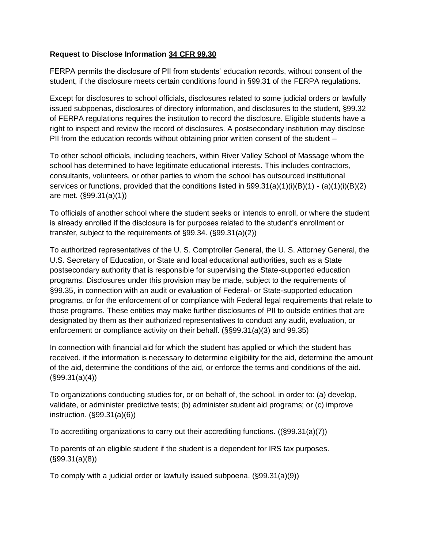#### **Request to Disclose Information [34 CFR 99.30](http://www.ecfr.gov/cgi-bin/text-idx?c=ecfr&SID=ca34e666ce93c380e3e771f4f6f9a059&rgn=div8&view=text&node=34:1.1.1.1.33.4.132.1&idno=34)**

FERPA permits the disclosure of PII from students' education records, without consent of the student, if the disclosure meets certain conditions found in §99.31 of the FERPA regulations.

Except for disclosures to school officials, disclosures related to some judicial orders or lawfully issued subpoenas, disclosures of directory information, and disclosures to the student, §99.32 of FERPA regulations requires the institution to record the disclosure. Eligible students have a right to inspect and review the record of disclosures. A postsecondary institution may disclose PII from the education records without obtaining prior written consent of the student –

To other school officials, including teachers, within River Valley School of Massage whom the school has determined to have legitimate educational interests. This includes contractors, consultants, volunteers, or other parties to whom the school has outsourced institutional services or functions, provided that the conditions listed in §99.31(a)(1)(i)(B)(1) - (a)(1)(i)(B)(2) are met. (§99.31(a)(1))

To officials of another school where the student seeks or intends to enroll, or where the student is already enrolled if the disclosure is for purposes related to the student's enrollment or transfer, subject to the requirements of §99.34. (§99.31(a)(2))

To authorized representatives of the U. S. Comptroller General, the U. S. Attorney General, the U.S. Secretary of Education, or State and local educational authorities, such as a State postsecondary authority that is responsible for supervising the State-supported education programs. Disclosures under this provision may be made, subject to the requirements of §99.35, in connection with an audit or evaluation of Federal- or State-supported education programs, or for the enforcement of or compliance with Federal legal requirements that relate to those programs. These entities may make further disclosures of PII to outside entities that are designated by them as their authorized representatives to conduct any audit, evaluation, or enforcement or compliance activity on their behalf. (§§99.31(a)(3) and 99.35)

In connection with financial aid for which the student has applied or which the student has received, if the information is necessary to determine eligibility for the aid, determine the amount of the aid, determine the conditions of the aid, or enforce the terms and conditions of the aid.  $(S99.31(a)(4))$ 

To organizations conducting studies for, or on behalf of, the school, in order to: (a) develop, validate, or administer predictive tests; (b) administer student aid programs; or (c) improve instruction. (§99.31(a)(6))

To accrediting organizations to carry out their accrediting functions. ((§99.31(a)(7))

To parents of an eligible student if the student is a dependent for IRS tax purposes. (§99.31(a)(8))

To comply with a judicial order or lawfully issued subpoena. (§99.31(a)(9))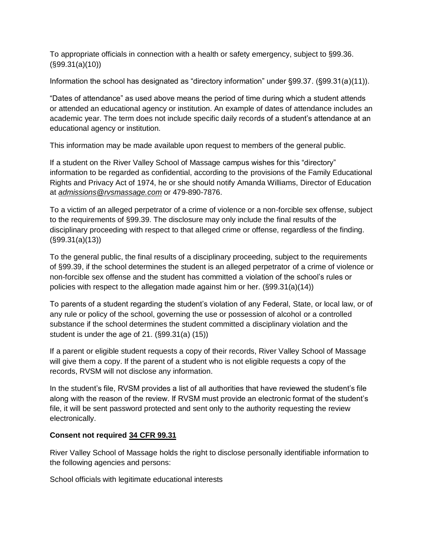To appropriate officials in connection with a health or safety emergency, subject to §99.36. (§99.31(a)(10))

Information the school has designated as "directory information" under §99.37. (§99.31(a)(11)).

"Dates of attendance" as used above means the period of time during which a student attends or attended an educational agency or institution. An example of dates of attendance includes an academic year. The term does not include specific daily records of a student's attendance at an educational agency or institution.

This information may be made available upon request to members of the general public.

If a student on the River Valley School of Massage campus wishes for this "directory" information to be regarded as confidential, according to the provisions of the Family Educational Rights and Privacy Act of 1974, he or she should notify Amanda Williams, Director of Education at *[admissions@rvsmassage.com](mailto:admissions@rvsmassage.com)* or 479-890-7876.

To a victim of an alleged perpetrator of a crime of violence or a non-forcible sex offense, subject to the requirements of §99.39. The disclosure may only include the final results of the disciplinary proceeding with respect to that alleged crime or offense, regardless of the finding. (§99.31(a)(13))

To the general public, the final results of a disciplinary proceeding, subject to the requirements of §99.39, if the school determines the student is an alleged perpetrator of a crime of violence or non-forcible sex offense and the student has committed a violation of the school's rules or policies with respect to the allegation made against him or her. (§99.31(a)(14))

To parents of a student regarding the student's violation of any Federal, State, or local law, or of any rule or policy of the school, governing the use or possession of alcohol or a controlled substance if the school determines the student committed a disciplinary violation and the student is under the age of 21. (§99.31(a) (15))

If a parent or eligible student requests a copy of their records, River Valley School of Massage will give them a copy. If the parent of a student who is not eligible requests a copy of the records, RVSM will not disclose any information.

In the student's file, RVSM provides a list of all authorities that have reviewed the student's file along with the reason of the review. If RVSM must provide an electronic format of the student's file, it will be sent password protected and sent only to the authority requesting the review electronically.

#### **Consent not required [34 CFR 99.31](http://www.ecfr.gov/cgi-bin/text-idx?c=ecfr&SID=ca34e666ce93c380e3e771f4f6f9a059&rgn=div8&view=text&node=34:1.1.1.1.33.4.132.2&idno=34)**

River Valley School of Massage holds the right to disclose personally identifiable information to the following agencies and persons:

School officials with legitimate educational interests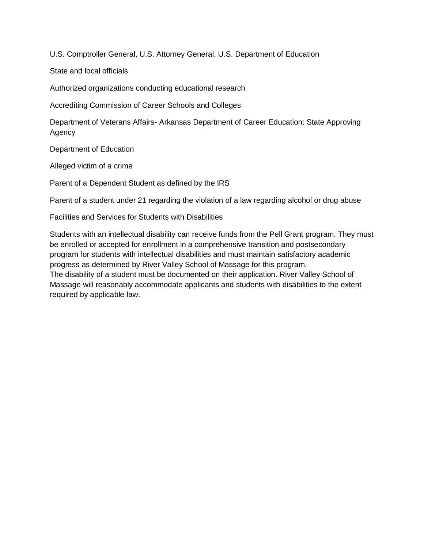U.S. Comptroller General, U.S. Attorney General, U.S. Department of Education

State and local officials

Authorized organizations conducting educational research

Accrediting Commission of Career Schools and Colleges

Department of Veterans Affairs- Arkansas Department of Career Education: State Approving Agency

Department of Education

Alleged victim of a crime

Parent of a Dependent Student as defined by the IRS

Parent of a student under 21 regarding the violation of a law regarding alcohol or drug abuse

Facilities and Services for Students with Disabilities

Students with an intellectual disability can receive funds from the Pell Grant program. They must be enrolled or accepted for enrollment in a comprehensive transition and postsecondary program for students with intellectual disabilities and must maintain satisfactory academic progress as determined by River Valley School of Massage for this program. The disability of a student must be documented on their application. River Valley School of Massage will reasonably accommodate applicants and students with disabilities to the extent required by applicable law.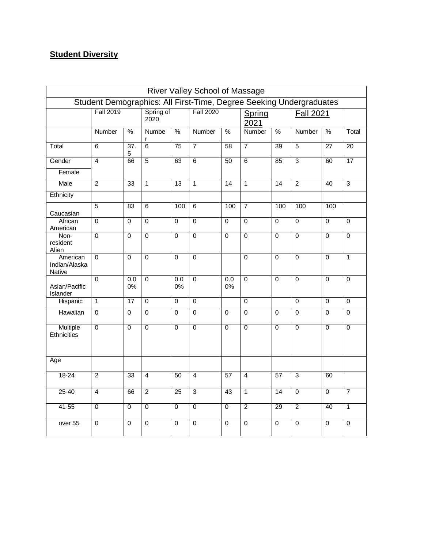# **Student Diversity**

|                                     |                                                                     |                 |                   |                 | River Valley School of Massage |                 |                |                 |                  |                 |                 |
|-------------------------------------|---------------------------------------------------------------------|-----------------|-------------------|-----------------|--------------------------------|-----------------|----------------|-----------------|------------------|-----------------|-----------------|
|                                     | Student Demographics: All First-Time, Degree Seeking Undergraduates |                 |                   |                 |                                |                 |                |                 |                  |                 |                 |
|                                     | <b>Fall 2019</b>                                                    |                 | Spring of<br>2020 |                 | <b>Fall 2020</b>               |                 | Spring<br>2021 |                 | <b>Fall 2021</b> |                 |                 |
|                                     | Number                                                              | $\frac{0}{6}$   | <b>Numbe</b><br>r | %               | Number                         | $\frac{0}{2}$   | Number         | $\frac{0}{0}$   | Number           | $\frac{0}{0}$   | Total           |
| Total                               | 6                                                                   | 37.<br>5        | $\overline{6}$    | 75              | $\overline{7}$                 | 58              | $\overline{7}$ | 39              | $\overline{5}$   | $\overline{27}$ | 20              |
| Gender                              | $\overline{4}$                                                      | 66              | $\overline{5}$    | 63              | $\overline{6}$                 | 50              | $\overline{6}$ | 85              | $\overline{3}$   | 60              | $\overline{17}$ |
| Female                              |                                                                     |                 |                   |                 |                                |                 |                |                 |                  |                 |                 |
| Male                                | $\overline{2}$                                                      | 33              | $\overline{1}$    | $\overline{13}$ | $\overline{1}$                 | $\overline{14}$ | $\overline{1}$ | 14              | $\overline{2}$   | 40              | $\overline{3}$  |
| Ethnicity                           |                                                                     |                 |                   |                 |                                |                 |                |                 |                  |                 |                 |
| Caucasian                           | $\overline{5}$                                                      | 83              | 6                 | 100             | $\overline{6}$                 | 100             | $\overline{7}$ | 100             | 100              | 100             |                 |
| African<br>American                 | $\overline{0}$                                                      | $\overline{0}$  | $\overline{0}$    | $\mathbf 0$     | $\overline{0}$                 | $\overline{0}$  | $\overline{0}$ | 0               | $\overline{0}$   | $\overline{0}$  | $\mathbf 0$     |
| Non-<br>resident<br>Alien           | $\overline{0}$                                                      | $\overline{0}$  | $\overline{0}$    | $\overline{0}$  | $\overline{0}$                 | $\overline{0}$  | $\overline{0}$ | $\overline{0}$  | $\overline{0}$   | $\overline{0}$  | $\overline{0}$  |
| American<br>Indian/Alaska<br>Native | $\overline{0}$                                                      | $\overline{0}$  | $\overline{0}$    | $\overline{0}$  | $\overline{0}$                 |                 | $\overline{0}$ | $\overline{0}$  | $\overline{0}$   | $\overline{0}$  | $\mathbf{1}$    |
| Asian/Pacific<br>Islander           | $\overline{0}$                                                      | 0.0<br>0%       | $\overline{0}$    | 0.0<br>$0\%$    | $\overline{0}$                 | 0.0<br>0%       | $\overline{0}$ | $\Omega$        | $\overline{0}$   | $\overline{0}$  | $\mathbf 0$     |
| <b>Hispanic</b>                     | $\overline{1}$                                                      | $\overline{17}$ | $\overline{0}$    | $\mathbf 0$     | $\overline{0}$                 |                 | $\overline{0}$ |                 | $\overline{0}$   | $\overline{0}$  | $\overline{0}$  |
| Hawaiian                            | $\Omega$                                                            | $\Omega$        | $\overline{0}$    | $\Omega$        | $\overline{0}$                 | $\overline{0}$  | $\overline{0}$ | $\Omega$        | $\mathbf 0$      | $\overline{0}$  | $\overline{0}$  |
| Multiple<br>Ethnicities             | $\overline{0}$                                                      | $\mathbf 0$     | $\overline{0}$    | $\mathbf 0$     | $\overline{0}$                 | $\mathbf 0$     | $\overline{0}$ | 0               | $\overline{0}$   | $\overline{0}$  | 0               |
| Age                                 |                                                                     |                 |                   |                 |                                |                 |                |                 |                  |                 |                 |
| $18 - 24$                           | $\overline{2}$                                                      | 33              | $\overline{4}$    | 50              | $\overline{4}$                 | 57              | $\overline{4}$ | 57              | $\overline{3}$   | 60              |                 |
| $25 - 40$                           | $\overline{4}$                                                      | 66              | $\overline{2}$    | $\overline{25}$ | $\overline{3}$                 | 43              | $\overline{1}$ | $\overline{14}$ | $\overline{0}$   | $\overline{0}$  | $\overline{7}$  |
| $41 - 55$                           | $\overline{0}$                                                      | $\mathbf 0$     | $\overline{0}$    | $\mathbf 0$     | $\overline{0}$                 | $\mathbf 0$     | $\overline{2}$ | 29              | $\overline{2}$   | 40              | $\overline{1}$  |
| over 55                             | 0                                                                   | $\mathbf 0$     | $\mathbf 0$       | 0               | $\overline{0}$                 | 0               | 0              | 0               | 0                | 0               | $\mathbf 0$     |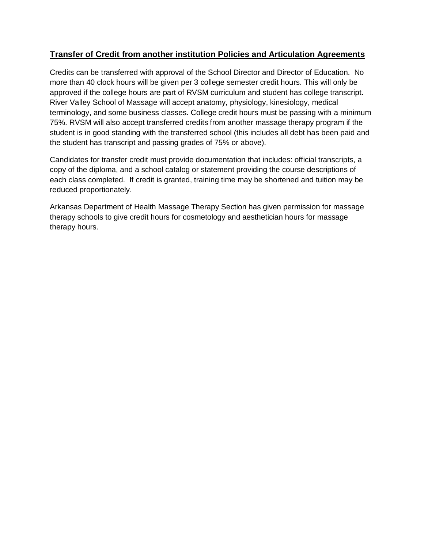### **Transfer of Credit from another institution Policies and Articulation Agreements**

Credits can be transferred with approval of the School Director and Director of Education. No more than 40 clock hours will be given per 3 college semester credit hours. This will only be approved if the college hours are part of RVSM curriculum and student has college transcript. River Valley School of Massage will accept anatomy, physiology, kinesiology, medical terminology, and some business classes. College credit hours must be passing with a minimum 75%. RVSM will also accept transferred credits from another massage therapy program if the student is in good standing with the transferred school (this includes all debt has been paid and the student has transcript and passing grades of 75% or above).

Candidates for transfer credit must provide documentation that includes: official transcripts, a copy of the diploma, and a school catalog or statement providing the course descriptions of each class completed. If credit is granted, training time may be shortened and tuition may be reduced proportionately.

Arkansas Department of Health Massage Therapy Section has given permission for massage therapy schools to give credit hours for cosmetology and aesthetician hours for massage therapy hours.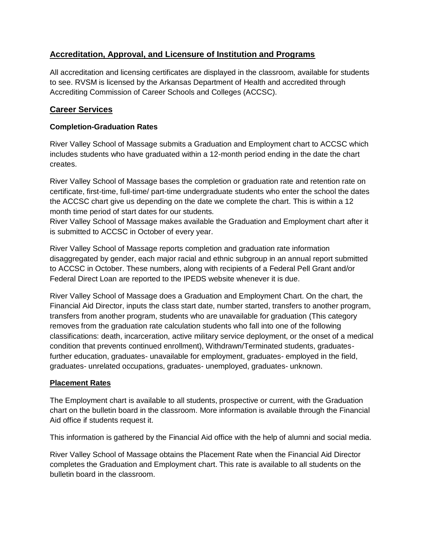### **Accreditation, Approval, and Licensure of Institution and Programs**

All accreditation and licensing certificates are displayed in the classroom, available for students to see. RVSM is licensed by the Arkansas Department of Health and accredited through Accrediting Commission of Career Schools and Colleges (ACCSC).

### **Career Services**

### **Completion-Graduation Rates**

River Valley School of Massage submits a Graduation and Employment chart to ACCSC which includes students who have graduated within a 12-month period ending in the date the chart creates.

River Valley School of Massage bases the completion or graduation rate and retention rate on certificate, first-time, full-time/ part-time undergraduate students who enter the school the dates the ACCSC chart give us depending on the date we complete the chart. This is within a 12 month time period of start dates for our students.

River Valley School of Massage makes available the Graduation and Employment chart after it is submitted to ACCSC in October of every year.

River Valley School of Massage reports completion and graduation rate information disaggregated by gender, each major racial and ethnic subgroup in an annual report submitted to ACCSC in October. These numbers, along with recipients of a Federal Pell Grant and/or Federal Direct Loan are reported to the IPEDS website whenever it is due.

River Valley School of Massage does a Graduation and Employment Chart. On the chart, the Financial Aid Director, inputs the class start date, number started, transfers to another program, transfers from another program, students who are unavailable for graduation (This category removes from the graduation rate calculation students who fall into one of the following classifications: death, incarceration, active military service deployment, or the onset of a medical condition that prevents continued enrollment), Withdrawn/Terminated students, graduatesfurther education, graduates- unavailable for employment, graduates- employed in the field, graduates- unrelated occupations, graduates- unemployed, graduates- unknown.

### **Placement Rates**

The Employment chart is available to all students, prospective or current, with the Graduation chart on the bulletin board in the classroom. More information is available through the Financial Aid office if students request it.

This information is gathered by the Financial Aid office with the help of alumni and social media.

River Valley School of Massage obtains the Placement Rate when the Financial Aid Director completes the Graduation and Employment chart. This rate is available to all students on the bulletin board in the classroom.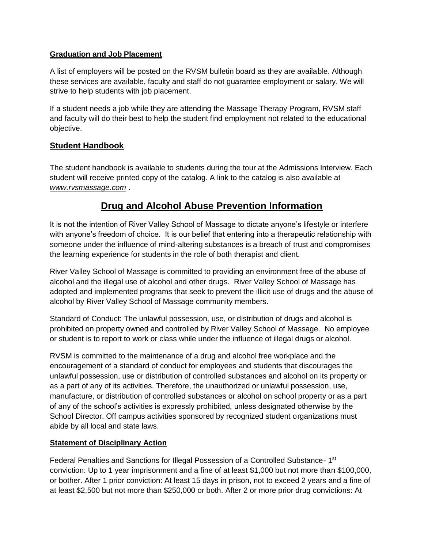#### **Graduation and Job Placement**

A list of employers will be posted on the RVSM bulletin board as they are available. Although these services are available, faculty and staff do not guarantee employment or salary. We will strive to help students with job placement.

If a student needs a job while they are attending the Massage Therapy Program, RVSM staff and faculty will do their best to help the student find employment not related to the educational objective.

### **Student Handbook**

The student handbook is available to students during the tour at the Admissions Interview. Each student will receive printed copy of the catalog. A link to the catalog is also available at *[www.rvsmassage.com](http://www.rvsmassage.com/)* .

# **Drug and Alcohol Abuse Prevention Information**

It is not the intention of River Valley School of Massage to dictate anyone's lifestyle or interfere with anyone's freedom of choice. It is our belief that entering into a therapeutic relationship with someone under the influence of mind-altering substances is a breach of trust and compromises the learning experience for students in the role of both therapist and client.

River Valley School of Massage is committed to providing an environment free of the abuse of alcohol and the illegal use of alcohol and other drugs. River Valley School of Massage has adopted and implemented programs that seek to prevent the illicit use of drugs and the abuse of alcohol by River Valley School of Massage community members.

Standard of Conduct: The unlawful possession, use, or distribution of drugs and alcohol is prohibited on property owned and controlled by River Valley School of Massage. No employee or student is to report to work or class while under the influence of illegal drugs or alcohol.

RVSM is committed to the maintenance of a drug and alcohol free workplace and the encouragement of a standard of conduct for employees and students that discourages the unlawful possession, use or distribution of controlled substances and alcohol on its property or as a part of any of its activities. Therefore, the unauthorized or unlawful possession, use, manufacture, or distribution of controlled substances or alcohol on school property or as a part of any of the school's activities is expressly prohibited, unless designated otherwise by the School Director. Off campus activities sponsored by recognized student organizations must abide by all local and state laws.

### **Statement of Disciplinary Action**

Federal Penalties and Sanctions for Illegal Possession of a Controlled Substance- 1<sup>st</sup> conviction: Up to 1 year imprisonment and a fine of at least \$1,000 but not more than \$100,000, or bother. After 1 prior conviction: At least 15 days in prison, not to exceed 2 years and a fine of at least \$2,500 but not more than \$250,000 or both. After 2 or more prior drug convictions: At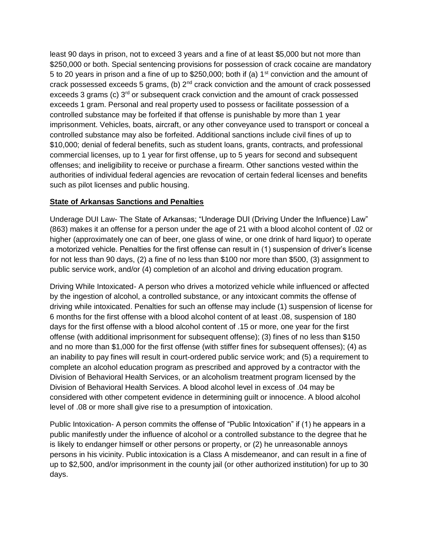least 90 days in prison, not to exceed 3 years and a fine of at least \$5,000 but not more than \$250,000 or both. Special sentencing provisions for possession of crack cocaine are mandatory 5 to 20 years in prison and a fine of up to \$250,000; both if (a) 1<sup>st</sup> conviction and the amount of crack possessed exceeds 5 grams, (b) 2nd crack conviction and the amount of crack possessed exceeds 3 grams (c) 3<sup>rd</sup> or subsequent crack conviction and the amount of crack possessed exceeds 1 gram. Personal and real property used to possess or facilitate possession of a controlled substance may be forfeited if that offense is punishable by more than 1 year imprisonment. Vehicles, boats, aircraft, or any other conveyance used to transport or conceal a controlled substance may also be forfeited. Additional sanctions include civil fines of up to \$10,000; denial of federal benefits, such as student loans, grants, contracts, and professional commercial licenses, up to 1 year for first offense, up to 5 years for second and subsequent offenses; and ineligibility to receive or purchase a firearm. Other sanctions vested within the authorities of individual federal agencies are revocation of certain federal licenses and benefits such as pilot licenses and public housing.

### **State of Arkansas Sanctions and Penalties**

Underage DUI Law- The State of Arkansas; "Underage DUI (Driving Under the Influence) Law" (863) makes it an offense for a person under the age of 21 with a blood alcohol content of .02 or higher (approximately one can of beer, one glass of wine, or one drink of hard liquor) to operate a motorized vehicle. Penalties for the first offense can result in (1) suspension of driver's license for not less than 90 days, (2) a fine of no less than \$100 nor more than \$500, (3) assignment to public service work, and/or (4) completion of an alcohol and driving education program.

Driving While Intoxicated- A person who drives a motorized vehicle while influenced or affected by the ingestion of alcohol, a controlled substance, or any intoxicant commits the offense of driving while intoxicated. Penalties for such an offense may include (1) suspension of license for 6 months for the first offense with a blood alcohol content of at least .08, suspension of 180 days for the first offense with a blood alcohol content of .15 or more, one year for the first offense (with additional imprisonment for subsequent offense); (3) fines of no less than \$150 and no more than \$1,000 for the first offense (with stiffer fines for subsequent offenses); (4) as an inability to pay fines will result in court-ordered public service work; and (5) a requirement to complete an alcohol education program as prescribed and approved by a contractor with the Division of Behavioral Health Services, or an alcoholism treatment program licensed by the Division of Behavioral Health Services. A blood alcohol level in excess of .04 may be considered with other competent evidence in determining guilt or innocence. A blood alcohol level of .08 or more shall give rise to a presumption of intoxication.

Public Intoxication- A person commits the offense of "Public Intoxication" if (1) he appears in a public manifestly under the influence of alcohol or a controlled substance to the degree that he is likely to endanger himself or other persons or property, or (2) he unreasonable annoys persons in his vicinity. Public intoxication is a Class A misdemeanor, and can result in a fine of up to \$2,500, and/or imprisonment in the county jail (or other authorized institution) for up to 30 days.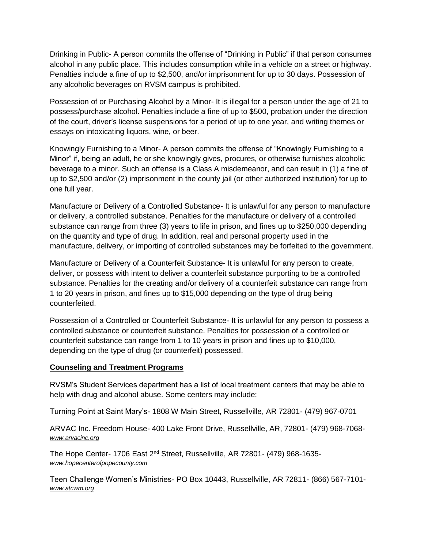Drinking in Public- A person commits the offense of "Drinking in Public" if that person consumes alcohol in any public place. This includes consumption while in a vehicle on a street or highway. Penalties include a fine of up to \$2,500, and/or imprisonment for up to 30 days. Possession of any alcoholic beverages on RVSM campus is prohibited.

Possession of or Purchasing Alcohol by a Minor- It is illegal for a person under the age of 21 to possess/purchase alcohol. Penalties include a fine of up to \$500, probation under the direction of the court, driver's license suspensions for a period of up to one year, and writing themes or essays on intoxicating liquors, wine, or beer.

Knowingly Furnishing to a Minor- A person commits the offense of "Knowingly Furnishing to a Minor" if, being an adult, he or she knowingly gives, procures, or otherwise furnishes alcoholic beverage to a minor. Such an offense is a Class A misdemeanor, and can result in (1) a fine of up to \$2,500 and/or (2) imprisonment in the county jail (or other authorized institution) for up to one full year.

Manufacture or Delivery of a Controlled Substance- It is unlawful for any person to manufacture or delivery, a controlled substance. Penalties for the manufacture or delivery of a controlled substance can range from three (3) years to life in prison, and fines up to \$250,000 depending on the quantity and type of drug. In addition, real and personal property used in the manufacture, delivery, or importing of controlled substances may be forfeited to the government.

Manufacture or Delivery of a Counterfeit Substance- It is unlawful for any person to create, deliver, or possess with intent to deliver a counterfeit substance purporting to be a controlled substance. Penalties for the creating and/or delivery of a counterfeit substance can range from 1 to 20 years in prison, and fines up to \$15,000 depending on the type of drug being counterfeited.

Possession of a Controlled or Counterfeit Substance- It is unlawful for any person to possess a controlled substance or counterfeit substance. Penalties for possession of a controlled or counterfeit substance can range from 1 to 10 years in prison and fines up to \$10,000, depending on the type of drug (or counterfeit) possessed.

#### **Counseling and Treatment Programs**

RVSM's Student Services department has a list of local treatment centers that may be able to help with drug and alcohol abuse. Some centers may include:

Turning Point at Saint Mary's- 1808 W Main Street, Russellville, AR 72801- (479) 967-0701

ARVAC Inc. Freedom House- 400 Lake Front Drive, Russellville, AR, 72801- (479) 968-7068 *[www.arvacinc.org](http://www.arvacinc.org/)*

The Hope Center- 1706 East 2<sup>nd</sup> Street, Russellville, AR 72801- (479) 968-1635*[www.hopecenterofpopecounty.com](http://www.hopecenterofpopecounty.com/)*

Teen Challenge Women's Ministries- PO Box 10443, Russellville, AR 72811- (866) 567-7101 *[www.atcwm.org](http://www.atcwm.org/)*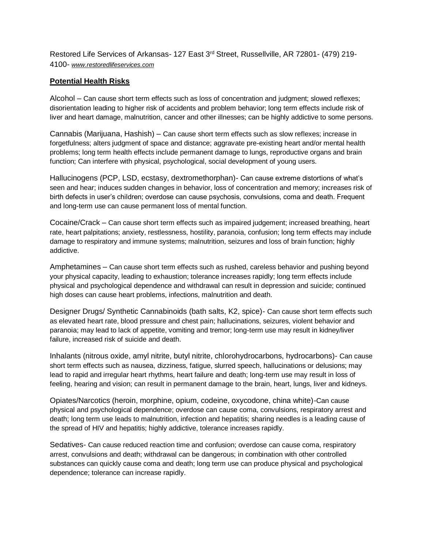Restored Life Services of Arkansas- 127 East 3<sup>rd</sup> Street, Russellville, AR 72801- (479) 219-4100- *[www.restoredlifeservices.com](http://www.restoredlifeservices.com/)*

#### **Potential Health Risks**

Alcohol – Can cause short term effects such as loss of concentration and judgment; slowed reflexes; disorientation leading to higher risk of accidents and problem behavior; long term effects include risk of liver and heart damage, malnutrition, cancer and other illnesses; can be highly addictive to some persons.

Cannabis (Marijuana, Hashish) – Can cause short term effects such as slow reflexes; increase in forgetfulness; alters judgment of space and distance; aggravate pre-existing heart and/or mental health problems; long term health effects include permanent damage to lungs, reproductive organs and brain function; Can interfere with physical, psychological, social development of young users.

Hallucinogens (PCP, LSD, ecstasy, dextromethorphan)- Can cause extreme distortions of what's seen and hear; induces sudden changes in behavior, loss of concentration and memory; increases risk of birth defects in user's children; overdose can cause psychosis, convulsions, coma and death. Frequent and long-term use can cause permanent loss of mental function.

Cocaine/Crack – Can cause short term effects such as impaired judgement; increased breathing, heart rate, heart palpitations; anxiety, restlessness, hostility, paranoia, confusion; long term effects may include damage to respiratory and immune systems; malnutrition, seizures and loss of brain function; highly addictive.

Amphetamines – Can cause short term effects such as rushed, careless behavior and pushing beyond your physical capacity, leading to exhaustion; tolerance increases rapidly; long term effects include physical and psychological dependence and withdrawal can result in depression and suicide; continued high doses can cause heart problems, infections, malnutrition and death.

Designer Drugs/ Synthetic Cannabinoids (bath salts, K2, spice)- Can cause short term effects such as elevated heart rate, blood pressure and chest pain; hallucinations, seizures, violent behavior and paranoia; may lead to lack of appetite, vomiting and tremor; long-term use may result in kidney/liver failure, increased risk of suicide and death.

Inhalants (nitrous oxide, amyl nitrite, butyl nitrite, chlorohydrocarbons, hydrocarbons)- Can cause short term effects such as nausea, dizziness, fatigue, slurred speech, hallucinations or delusions; may lead to rapid and irregular heart rhythms, heart failure and death; long-term use may result in loss of feeling, hearing and vision; can result in permanent damage to the brain, heart, lungs, liver and kidneys.

Opiates/Narcotics (heroin, morphine, opium, codeine, oxycodone, china white)-Can cause physical and psychological dependence; overdose can cause coma, convulsions, respiratory arrest and death; long term use leads to malnutrition, infection and hepatitis; sharing needles is a leading cause of the spread of HIV and hepatitis; highly addictive, tolerance increases rapidly.

Sedatives- Can cause reduced reaction time and confusion; overdose can cause coma, respiratory arrest, convulsions and death; withdrawal can be dangerous; in combination with other controlled substances can quickly cause coma and death; long term use can produce physical and psychological dependence; tolerance can increase rapidly.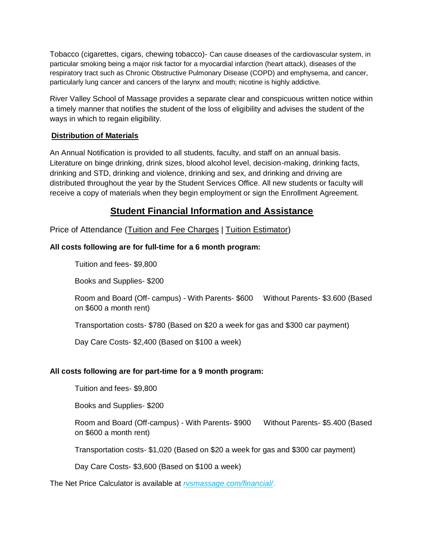Tobacco (cigarettes, cigars, chewing tobacco)- Can cause diseases of the cardiovascular system, in particular smoking being a major risk factor for a myocardial infarction (heart attack), diseases of the respiratory tract such as Chronic Obstructive Pulmonary Disease (COPD) and emphysema, and cancer, particularly lung cancer and cancers of the larynx and mouth; nicotine is highly addictive.

River Valley School of Massage provides a separate clear and conspicuous written notice within a timely manner that notifies the student of the loss of eligibility and advises the student of the ways in which to regain eligibility.

#### **Distribution of Materials**

An Annual Notification is provided to all students, faculty, and staff on an annual basis. Literature on binge drinking, drink sizes, blood alcohol level, decision-making, drinking facts, drinking and STD, drinking and violence, drinking and sex, and drinking and driving are distributed throughout the year by the Student Services Office. All new students or faculty will receive a copy of materials when they begin employment or sign the Enrollment Agreement.

# **Student Financial Information and Assistance**

Price of Attendance (Tuition and Fee Charges | Tuition Estimator)

### **All costs following are for full-time for a 6 month program:**

Tuition and fees- \$9,800

Books and Supplies- \$200

Room and Board (Off- campus) - With Parents- \$600 Without Parents- \$3.600 (Based on \$600 a month rent)

Transportation costs- \$780 (Based on \$20 a week for gas and \$300 car payment)

Day Care Costs- \$2,400 (Based on \$100 a week)

### **All costs following are for part-time for a 9 month program:**

Tuition and fees- \$9,800

Books and Supplies- \$200

Room and Board (Off-campus) - With Parents- \$900 Without Parents- \$5.400 (Based on \$600 a month rent)

Transportation costs- \$1,020 (Based on \$20 a week for gas and \$300 car payment)

Day Care Costs- \$3,600 (Based on \$100 a week)

The Net Price Calculator is available at *rvsmassage.com/financial/*.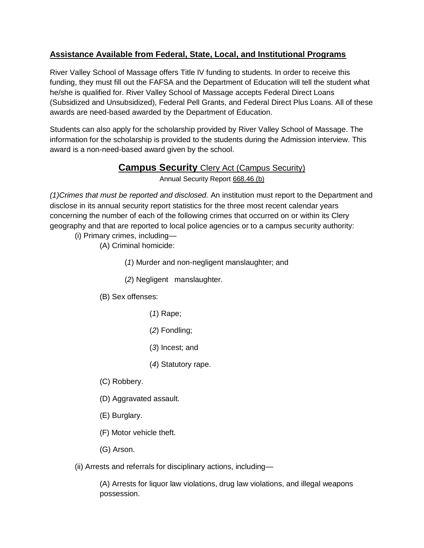# **Assistance Available from Federal, State, Local, and Institutional Programs**

River Valley School of Massage offers Title IV funding to students. In order to receive this funding, they must fill out the FAFSA and the Department of Education will tell the student what he/she is qualified for. River Valley School of Massage accepts Federal Direct Loans (Subsidized and Unsubsidized), Federal Pell Grants, and Federal Direct Plus Loans. All of these awards are need-based awarded by the Department of Education.

Students can also apply for the scholarship provided by River Valley School of Massage. The information for the scholarship is provided to the students during the Admission interview. This award is a non-need-based award given by the school.

# **Campus Security** Clery Act (Campus Security)

Annual Security Report [668.46 \(b\)](http://www.ecfr.gov/cgi-bin/text-idx?c=ecfr&SID=ca34e666ce93c380e3e771f4f6f9a059&rgn=div8&view=text&node=34:3.1.3.1.34.4.39.6&idno=34)

*(1)Crimes that must be reported and disclosed.* An institution must report to the Department and disclose in its annual security report statistics for the three most recent calendar years concerning the number of each of the following crimes that occurred on or within its Clery geography and that are reported to local police agencies or to a campus security authority:

- (i) Primary crimes, including—
	- (A) Criminal homicide:
		- (*1*) Murder and non-negligent manslaughter; and
		- (*2*) Negligent manslaughter.
	- (B) Sex offenses:
		- (*1*) Rape;
		- (*2*) Fondling;
		- (*3*) Incest; and
		- (*4*) Statutory rape.
	- (C) Robbery.
	- (D) Aggravated assault.
	- (E) Burglary.
	- (F) Motor vehicle theft.
	- (G) Arson.

(ii) Arrests and referrals for disciplinary actions, including—

(A) Arrests for liquor law violations, drug law violations, and illegal weapons possession.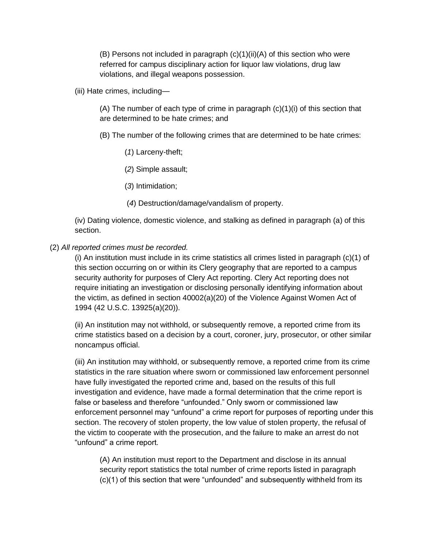(B) Persons not included in paragraph  $(c)(1)(ii)(A)$  of this section who were referred for campus disciplinary action for liquor law violations, drug law violations, and illegal weapons possession.

(iii) Hate crimes, including—

(A) The number of each type of crime in paragraph  $(c)(1)(i)$  of this section that are determined to be hate crimes; and

- (B) The number of the following crimes that are determined to be hate crimes:
	- (*1*) Larceny-theft;
	- (*2*) Simple assault;
	- (*3*) Intimidation;
	- (*4*) Destruction/damage/vandalism of property.

(iv) Dating violence, domestic violence, and stalking as defined in paragraph (a) of this section.

(2) *All reported crimes must be recorded.*

(i) An institution must include in its crime statistics all crimes listed in paragraph (c)(1) of this section occurring on or within its Clery geography that are reported to a campus security authority for purposes of Clery Act reporting. Clery Act reporting does not require initiating an investigation or disclosing personally identifying information about the victim, as defined in section 40002(a)(20) of the Violence Against Women Act of 1994 (42 U.S.C. 13925(a)(20)).

(ii) An institution may not withhold, or subsequently remove, a reported crime from its crime statistics based on a decision by a court, coroner, jury, prosecutor, or other similar noncampus official.

(iii) An institution may withhold, or subsequently remove, a reported crime from its crime statistics in the rare situation where sworn or commissioned law enforcement personnel have fully investigated the reported crime and, based on the results of this full investigation and evidence, have made a formal determination that the crime report is false or baseless and therefore "unfounded." Only sworn or commissioned law enforcement personnel may "unfound" a crime report for purposes of reporting under this section. The recovery of stolen property, the low value of stolen property, the refusal of the victim to cooperate with the prosecution, and the failure to make an arrest do not "unfound" a crime report.

(A) An institution must report to the Department and disclose in its annual security report statistics the total number of crime reports listed in paragraph (c)(1) of this section that were "unfounded" and subsequently withheld from its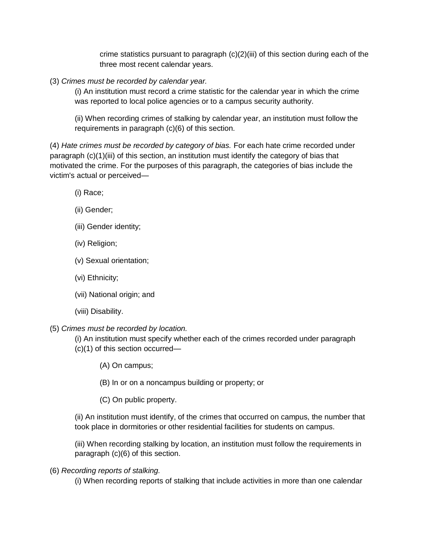crime statistics pursuant to paragraph  $(c)(2)(iii)$  of this section during each of the three most recent calendar years.

(3) *Crimes must be recorded by calendar year.*

(i) An institution must record a crime statistic for the calendar year in which the crime was reported to local police agencies or to a campus security authority.

(ii) When recording crimes of stalking by calendar year, an institution must follow the requirements in paragraph (c)(6) of this section.

(4) *Hate crimes must be recorded by category of bias.* For each hate crime recorded under paragraph (c)(1)(iii) of this section, an institution must identify the category of bias that motivated the crime. For the purposes of this paragraph, the categories of bias include the victim's actual or perceived—

- (i) Race;
- (ii) Gender;
- (iii) Gender identity;
- (iv) Religion;
- (v) Sexual orientation;
- (vi) Ethnicity;
- (vii) National origin; and
- (viii) Disability.
- (5) *Crimes must be recorded by location.*
	- (i) An institution must specify whether each of the crimes recorded under paragraph
	- (c)(1) of this section occurred—
		- (A) On campus;
		- (B) In or on a noncampus building or property; or
		- (C) On public property.

(ii) An institution must identify, of the crimes that occurred on campus, the number that took place in dormitories or other residential facilities for students on campus.

(iii) When recording stalking by location, an institution must follow the requirements in paragraph (c)(6) of this section.

(6) *Recording reports of stalking.*

(i) When recording reports of stalking that include activities in more than one calendar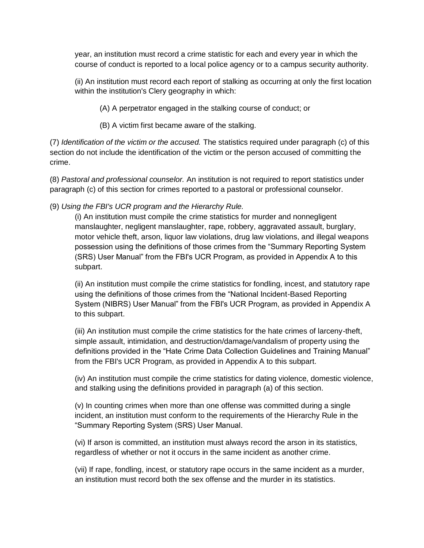year, an institution must record a crime statistic for each and every year in which the course of conduct is reported to a local police agency or to a campus security authority.

(ii) An institution must record each report of stalking as occurring at only the first location within the institution's Clery geography in which:

(A) A perpetrator engaged in the stalking course of conduct; or

(B) A victim first became aware of the stalking.

(7) *Identification of the victim or the accused.* The statistics required under paragraph (c) of this section do not include the identification of the victim or the person accused of committing the crime.

(8) *Pastoral and professional counselor.* An institution is not required to report statistics under paragraph (c) of this section for crimes reported to a pastoral or professional counselor.

(9) *Using the FBI's UCR program and the Hierarchy Rule.*

(i) An institution must compile the crime statistics for murder and nonnegligent manslaughter, negligent manslaughter, rape, robbery, aggravated assault, burglary, motor vehicle theft, arson, liquor law violations, drug law violations, and illegal weapons possession using the definitions of those crimes from the "Summary Reporting System (SRS) User Manual" from the FBI's UCR Program, as provided in Appendix A to this subpart.

(ii) An institution must compile the crime statistics for fondling, incest, and statutory rape using the definitions of those crimes from the "National Incident-Based Reporting System (NIBRS) User Manual" from the FBI's UCR Program, as provided in Appendix A to this subpart.

(iii) An institution must compile the crime statistics for the hate crimes of larceny-theft, simple assault, intimidation, and destruction/damage/vandalism of property using the definitions provided in the "Hate Crime Data Collection Guidelines and Training Manual" from the FBI's UCR Program, as provided in Appendix A to this subpart.

(iv) An institution must compile the crime statistics for dating violence, domestic violence, and stalking using the definitions provided in paragraph (a) of this section.

(v) In counting crimes when more than one offense was committed during a single incident, an institution must conform to the requirements of the Hierarchy Rule in the "Summary Reporting System (SRS) User Manual.

(vi) If arson is committed, an institution must always record the arson in its statistics, regardless of whether or not it occurs in the same incident as another crime.

(vii) If rape, fondling, incest, or statutory rape occurs in the same incident as a murder, an institution must record both the sex offense and the murder in its statistics.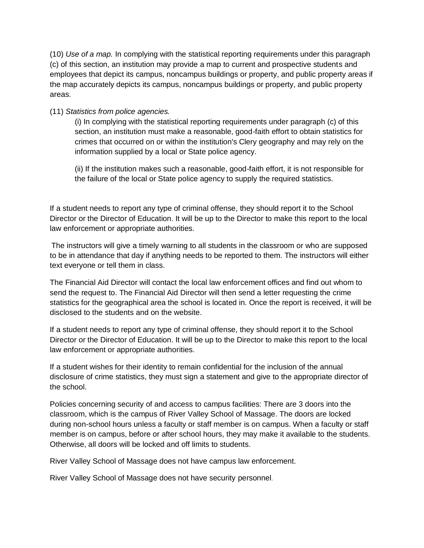(10) *Use of a map.* In complying with the statistical reporting requirements under this paragraph (c) of this section, an institution may provide a map to current and prospective students and employees that depict its campus, noncampus buildings or property, and public property areas if the map accurately depicts its campus, noncampus buildings or property, and public property areas.

#### (11) *Statistics from police agencies.*

(i) In complying with the statistical reporting requirements under paragraph (c) of this section, an institution must make a reasonable, good-faith effort to obtain statistics for crimes that occurred on or within the institution's Clery geography and may rely on the information supplied by a local or State police agency.

(ii) If the institution makes such a reasonable, good-faith effort, it is not responsible for the failure of the local or State police agency to supply the required statistics.

If a student needs to report any type of criminal offense, they should report it to the School Director or the Director of Education. It will be up to the Director to make this report to the local law enforcement or appropriate authorities.

The instructors will give a timely warning to all students in the classroom or who are supposed to be in attendance that day if anything needs to be reported to them. The instructors will either text everyone or tell them in class.

The Financial Aid Director will contact the local law enforcement offices and find out whom to send the request to. The Financial Aid Director will then send a letter requesting the crime statistics for the geographical area the school is located in. Once the report is received, it will be disclosed to the students and on the website.

If a student needs to report any type of criminal offense, they should report it to the School Director or the Director of Education. It will be up to the Director to make this report to the local law enforcement or appropriate authorities.

If a student wishes for their identity to remain confidential for the inclusion of the annual disclosure of crime statistics, they must sign a statement and give to the appropriate director of the school.

Policies concerning security of and access to campus facilities: There are 3 doors into the classroom, which is the campus of River Valley School of Massage. The doors are locked during non-school hours unless a faculty or staff member is on campus. When a faculty or staff member is on campus, before or after school hours, they may make it available to the students. Otherwise, all doors will be locked and off limits to students.

River Valley School of Massage does not have campus law enforcement.

River Valley School of Massage does not have security personnel.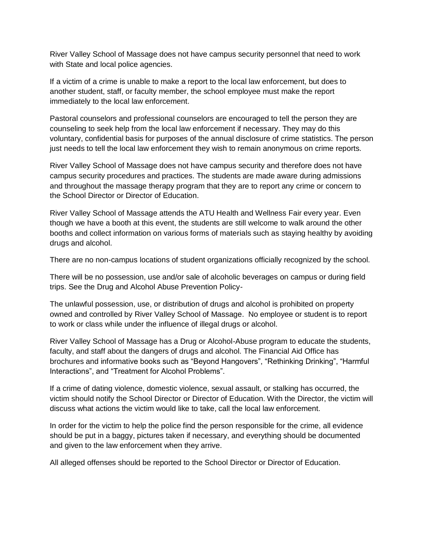River Valley School of Massage does not have campus security personnel that need to work with State and local police agencies.

If a victim of a crime is unable to make a report to the local law enforcement, but does to another student, staff, or faculty member, the school employee must make the report immediately to the local law enforcement.

Pastoral counselors and professional counselors are encouraged to tell the person they are counseling to seek help from the local law enforcement if necessary. They may do this voluntary, confidential basis for purposes of the annual disclosure of crime statistics. The person just needs to tell the local law enforcement they wish to remain anonymous on crime reports.

River Valley School of Massage does not have campus security and therefore does not have campus security procedures and practices. The students are made aware during admissions and throughout the massage therapy program that they are to report any crime or concern to the School Director or Director of Education.

River Valley School of Massage attends the ATU Health and Wellness Fair every year. Even though we have a booth at this event, the students are still welcome to walk around the other booths and collect information on various forms of materials such as staying healthy by avoiding drugs and alcohol.

There are no non-campus locations of student organizations officially recognized by the school.

There will be no possession, use and/or sale of alcoholic beverages on campus or during field trips. See the Drug and Alcohol Abuse Prevention Policy-

The unlawful possession, use, or distribution of drugs and alcohol is prohibited on property owned and controlled by River Valley School of Massage. No employee or student is to report to work or class while under the influence of illegal drugs or alcohol.

River Valley School of Massage has a Drug or Alcohol-Abuse program to educate the students, faculty, and staff about the dangers of drugs and alcohol. The Financial Aid Office has brochures and informative books such as "Beyond Hangovers", "Rethinking Drinking", "Harmful Interactions", and "Treatment for Alcohol Problems".

If a crime of dating violence, domestic violence, sexual assault, or stalking has occurred, the victim should notify the School Director or Director of Education. With the Director, the victim will discuss what actions the victim would like to take, call the local law enforcement.

In order for the victim to help the police find the person responsible for the crime, all evidence should be put in a baggy, pictures taken if necessary, and everything should be documented and given to the law enforcement when they arrive.

All alleged offenses should be reported to the School Director or Director of Education.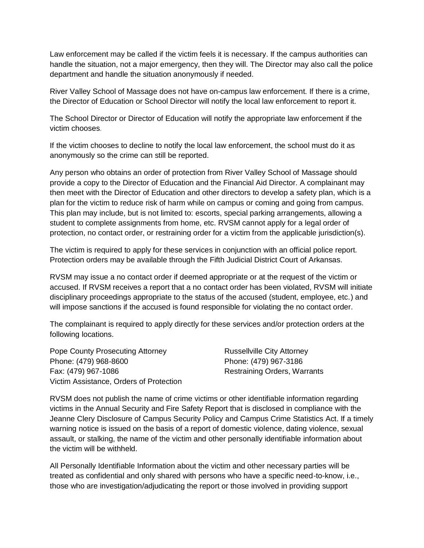Law enforcement may be called if the victim feels it is necessary. If the campus authorities can handle the situation, not a major emergency, then they will. The Director may also call the police department and handle the situation anonymously if needed.

River Valley School of Massage does not have on-campus law enforcement. If there is a crime, the Director of Education or School Director will notify the local law enforcement to report it.

The School Director or Director of Education will notify the appropriate law enforcement if the victim chooses.

If the victim chooses to decline to notify the local law enforcement, the school must do it as anonymously so the crime can still be reported.

Any person who obtains an order of protection from River Valley School of Massage should provide a copy to the Director of Education and the Financial Aid Director. A complainant may then meet with the Director of Education and other directors to develop a safety plan, which is a plan for the victim to reduce risk of harm while on campus or coming and going from campus. This plan may include, but is not limited to: escorts, special parking arrangements, allowing a student to complete assignments from home, etc. RVSM cannot apply for a legal order of protection, no contact order, or restraining order for a victim from the applicable jurisdiction(s).

The victim is required to apply for these services in conjunction with an official police report. Protection orders may be available through the Fifth Judicial District Court of Arkansas.

RVSM may issue a no contact order if deemed appropriate or at the request of the victim or accused. If RVSM receives a report that a no contact order has been violated, RVSM will initiate disciplinary proceedings appropriate to the status of the accused (student, employee, etc.) and will impose sanctions if the accused is found responsible for violating the no contact order.

The complainant is required to apply directly for these services and/or protection orders at the following locations.

Pope County Prosecuting Attorney **Russellville City Attorney** Phone: (479) 968-8600 Phone: (479) 967-3186 Fax: (479) 967-1086 Restraining Orders, Warrants Victim Assistance, Orders of Protection

RVSM does not publish the name of crime victims or other identifiable information regarding victims in the Annual Security and Fire Safety Report that is disclosed in compliance with the Jeanne Clery Disclosure of Campus Security Policy and Campus Crime Statistics Act. If a timely warning notice is issued on the basis of a report of domestic violence, dating violence, sexual assault, or stalking, the name of the victim and other personally identifiable information about the victim will be withheld.

All Personally Identifiable Information about the victim and other necessary parties will be treated as confidential and only shared with persons who have a specific need-to-know, i.e., those who are investigation/adjudicating the report or those involved in providing support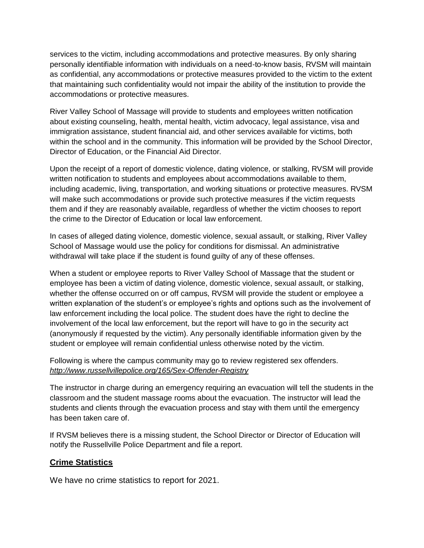services to the victim, including accommodations and protective measures. By only sharing personally identifiable information with individuals on a need-to-know basis, RVSM will maintain as confidential, any accommodations or protective measures provided to the victim to the extent that maintaining such confidentiality would not impair the ability of the institution to provide the accommodations or protective measures.

River Valley School of Massage will provide to students and employees written notification about existing counseling, health, mental health, victim advocacy, legal assistance, visa and immigration assistance, student financial aid, and other services available for victims, both within the school and in the community. This information will be provided by the School Director, Director of Education, or the Financial Aid Director.

Upon the receipt of a report of domestic violence, dating violence, or stalking, RVSM will provide written notification to students and employees about accommodations available to them, including academic, living, transportation, and working situations or protective measures. RVSM will make such accommodations or provide such protective measures if the victim requests them and if they are reasonably available, regardless of whether the victim chooses to report the crime to the Director of Education or local law enforcement.

In cases of alleged dating violence, domestic violence, sexual assault, or stalking, River Valley School of Massage would use the policy for conditions for dismissal. An administrative withdrawal will take place if the student is found guilty of any of these offenses.

When a student or employee reports to River Valley School of Massage that the student or employee has been a victim of dating violence, domestic violence, sexual assault, or stalking, whether the offense occurred on or off campus, RVSM will provide the student or employee a written explanation of the student's or employee's rights and options such as the involvement of law enforcement including the local police. The student does have the right to decline the involvement of the local law enforcement, but the report will have to go in the security act (anonymously if requested by the victim). Any personally identifiable information given by the student or employee will remain confidential unless otherwise noted by the victim.

Following is where the campus community may go to review registered sex offenders. *<http://www.russellvillepolice.org/165/Sex-Offender-Registry>*

The instructor in charge during an emergency requiring an evacuation will tell the students in the classroom and the student massage rooms about the evacuation. The instructor will lead the students and clients through the evacuation process and stay with them until the emergency has been taken care of.

If RVSM believes there is a missing student, the School Director or Director of Education will notify the Russellville Police Department and file a report.

### **Crime Statistics**

We have no crime statistics to report for 2021.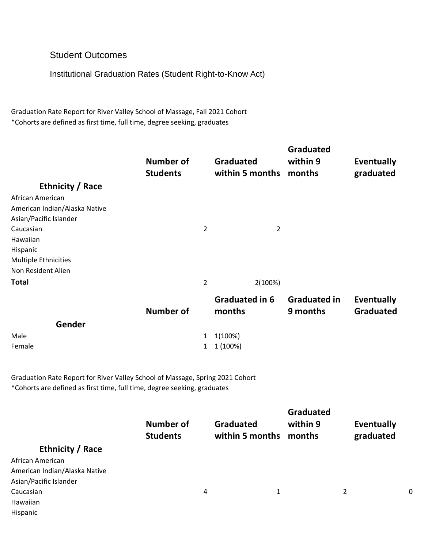# Student Outcomes

Institutional Graduation Rates (Student Right-to-Know Act)

Graduation Rate Report for River Valley School of Massage, Fall 2021 Cohort \*Cohorts are defined as first time, full time, degree seeking, graduates

| Ethnicity / Race<br>African American<br>American Indian/Alaska Native<br>Asian/Pacific Islander<br>Caucasian<br>Hawaiian<br>Hispanic<br><b>Multiple Ethnicities</b> | Number of<br><b>Students</b> | <b>Graduated</b><br>within 5 months<br>$\overline{2}$<br>$\overline{2}$ | <b>Graduated</b><br>within 9<br>months | Eventually<br>graduated        |
|---------------------------------------------------------------------------------------------------------------------------------------------------------------------|------------------------------|-------------------------------------------------------------------------|----------------------------------------|--------------------------------|
| Non Resident Alien                                                                                                                                                  |                              |                                                                         |                                        |                                |
| <b>Total</b>                                                                                                                                                        |                              | $\overline{2}$<br>2(100%)                                               |                                        |                                |
|                                                                                                                                                                     | Number of                    | <b>Graduated in 6</b><br>months                                         | <b>Graduated in</b><br>9 months        | Eventually<br><b>Graduated</b> |

|               |                    | _ _ _ _ _ _ _ _ _ _ |
|---------------|--------------------|---------------------|
| <b>Gender</b> |                    |                     |
| Male          | $1 \quad 1(100\%)$ |                     |
| Female        | $1 \quad 1(100\%)$ |                     |
|               |                    |                     |

Graduation Rate Report for River Valley School of Massage, Spring 2021 Cohort \*Cohorts are defined as first time, full time, degree seeking, graduates

|                               | Number of<br><b>Students</b> | <b>Graduated</b><br>within 5 months months | <b>Graduated</b><br>within 9 | <b>Eventually</b><br>graduated |   |
|-------------------------------|------------------------------|--------------------------------------------|------------------------------|--------------------------------|---|
| Ethnicity / Race              |                              |                                            |                              |                                |   |
| African American              |                              |                                            |                              |                                |   |
| American Indian/Alaska Native |                              |                                            |                              |                                |   |
| Asian/Pacific Islander        |                              |                                            |                              |                                |   |
| Caucasian                     |                              | 4                                          | 1                            | 2                              | 0 |
| Hawaiian                      |                              |                                            |                              |                                |   |
| Hispanic                      |                              |                                            |                              |                                |   |